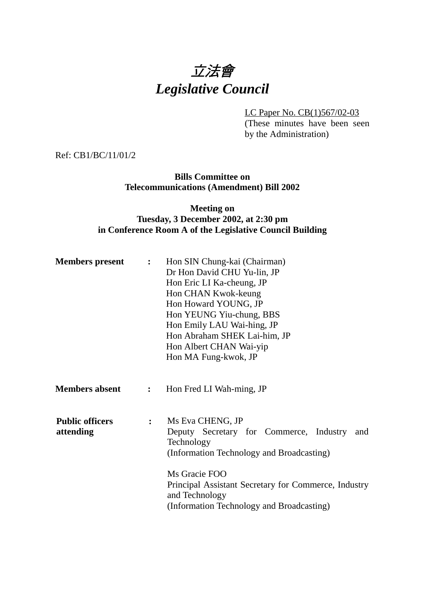# 立法會 *Legislative Council*

LC Paper No. CB(1)567/02-03

(These minutes have been seen by the Administration)

Ref: CB1/BC/11/01/2

**Bills Committee on Telecommunications (Amendment) Bill 2002**

#### **Meeting on Tuesday, 3 December 2002, at 2:30 pm in Conference Room A of the Legislative Council Building**

| <b>Members present</b>              | $\mathbf{L}$   | Hon SIN Chung-kai (Chairman)<br>Dr Hon David CHU Yu-lin, JP<br>Hon Eric LI Ka-cheung, JP<br>Hon CHAN Kwok-keung<br>Hon Howard YOUNG, JP<br>Hon YEUNG Yiu-chung, BBS<br>Hon Emily LAU Wai-hing, JP<br>Hon Abraham SHEK Lai-him, JP<br>Hon Albert CHAN Wai-yip<br>Hon MA Fung-kwok, JP |  |
|-------------------------------------|----------------|--------------------------------------------------------------------------------------------------------------------------------------------------------------------------------------------------------------------------------------------------------------------------------------|--|
| <b>Members absent</b>               | $\mathbf{L}$   | Hon Fred LI Wah-ming, JP                                                                                                                                                                                                                                                             |  |
| <b>Public officers</b><br>attending | $\ddot{\cdot}$ | Ms Eva CHENG, JP<br>Deputy Secretary for Commerce, Industry<br>and<br>Technology<br>(Information Technology and Broadcasting)<br>Ms Gracie FOO<br>Principal Assistant Secretary for Commerce, Industry                                                                               |  |
|                                     |                | and Technology<br>(Information Technology and Broadcasting)                                                                                                                                                                                                                          |  |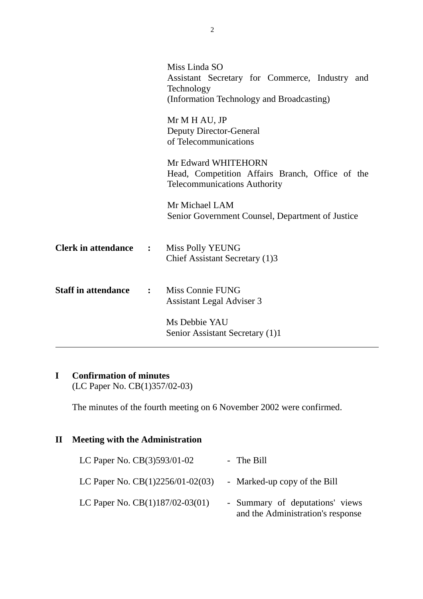|                              |              | Miss Linda SO                                           |
|------------------------------|--------------|---------------------------------------------------------|
|                              |              | Assistant Secretary for Commerce, Industry and          |
|                              |              | Technology                                              |
|                              |              | (Information Technology and Broadcasting)               |
|                              |              |                                                         |
|                              |              | Mr M H AU, JP                                           |
|                              |              | <b>Deputy Director-General</b><br>of Telecommunications |
|                              |              |                                                         |
|                              |              | Mr Edward WHITEHORN                                     |
|                              |              | Head, Competition Affairs Branch, Office of the         |
|                              |              | <b>Telecommunications Authority</b>                     |
|                              |              |                                                         |
|                              |              | Mr Michael LAM                                          |
|                              |              | Senior Government Counsel, Department of Justice        |
|                              |              |                                                         |
| <b>Clerk in attendance :</b> |              | Miss Polly YEUNG                                        |
|                              |              | Chief Assistant Secretary (1)3                          |
|                              |              |                                                         |
|                              |              |                                                         |
| <b>Staff in attendance</b>   | $\mathbf{L}$ | <b>Miss Connie FUNG</b>                                 |
|                              |              | Assistant Legal Adviser 3                               |
|                              |              | Ms Debbie YAU                                           |
|                              |              | Senior Assistant Secretary (1)1                         |
|                              |              |                                                         |

# **I Confirmation of minutes**

(LC Paper No. CB(1)357/02-03)

The minutes of the fourth meeting on 6 November 2002 were confirmed.

### **II Meeting with the Administration**

| LC Paper No. CB(3)593/01-02        | - The Bill                                                           |
|------------------------------------|----------------------------------------------------------------------|
| LC Paper No. $CB(1)2256/01-02(03)$ | - Marked-up copy of the Bill                                         |
| LC Paper No. $CB(1)187/02-03(01)$  | - Summary of deputations' views<br>and the Administration's response |

2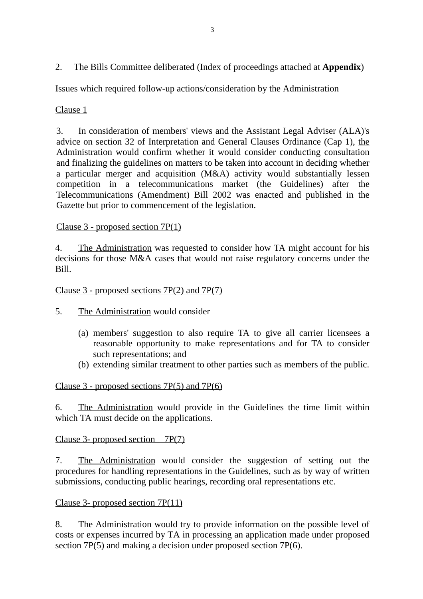2. The Bills Committee deliberated (Index of proceedings attached at **Appendix**)

Issues which required follow-up actions/consideration by the Administration

Clause 1

3. In consideration of members' views and the Assistant Legal Adviser (ALA)'s advice on section 32 of Interpretation and General Clauses Ordinance (Cap 1), the Administration would confirm whether it would consider conducting consultation and finalizing the guidelines on matters to be taken into account in deciding whether a particular merger and acquisition (M&A) activity would substantially lessen competition in a telecommunications market (the Guidelines) after the Telecommunications (Amendment) Bill 2002 was enacted and published in the Gazette but prior to commencement of the legislation.

## Clause 3 - proposed section 7P(1)

4. The Administration was requested to consider how TA might account for his decisions for those M&A cases that would not raise regulatory concerns under the Bill.

Clause 3 - proposed sections 7P(2) and 7P(7)

- 5. The Administration would consider
	- (a) members' suggestion to also require TA to give all carrier licensees a reasonable opportunity to make representations and for TA to consider such representations; and
	- (b) extending similar treatment to other parties such as members of the public.

# Clause 3 - proposed sections 7P(5) and 7P(6)

6. The Administration would provide in the Guidelines the time limit within which TA must decide on the applications.

Clause 3- proposed section 7P(7)

7. The Administration would consider the suggestion of setting out the procedures for handling representations in the Guidelines, such as by way of written submissions, conducting public hearings, recording oral representations etc.

### Clause 3- proposed section 7P(11)

8. The Administration would try to provide information on the possible level of costs or expenses incurred by TA in processing an application made under proposed section 7P(5) and making a decision under proposed section 7P(6).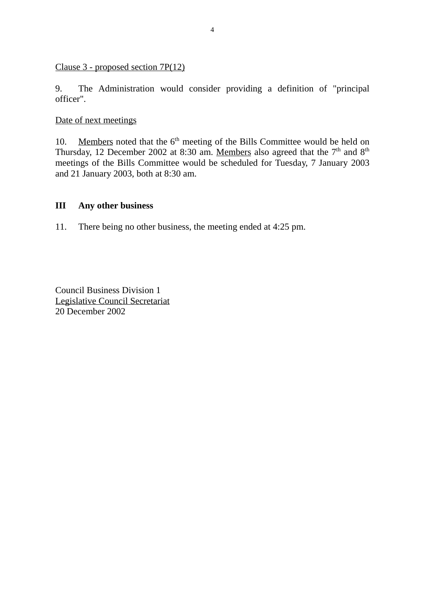#### Clause 3 - proposed section 7P(12)

9. The Administration would consider providing a definition of "principal officer".

Date of next meetings

10. Members noted that the  $6<sup>th</sup>$  meeting of the Bills Committee would be held on Thursday, 12 December 2002 at 8:30 am. Members also agreed that the  $7<sup>th</sup>$  and  $8<sup>th</sup>$ meetings of the Bills Committee would be scheduled for Tuesday, 7 January 2003 and 21 January 2003, both at 8:30 am.

#### **III Any other business**

11. There being no other business, the meeting ended at 4:25 pm.

Council Business Division 1 Legislative Council Secretariat 20 December 2002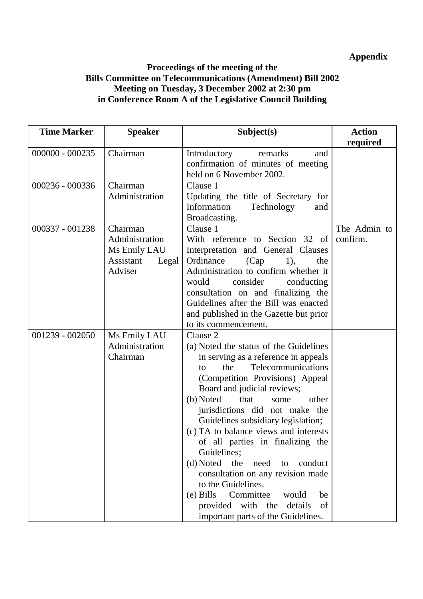# **Appendix**

#### **Proceedings of the meeting of the Bills Committee on Telecommunications (Amendment) Bill 2002 Meeting on Tuesday, 3 December 2002 at 2:30 pm in Conference Room A of the Legislative Council Building**

| <b>Time Marker</b> | <b>Speaker</b>                                                              | Subject(s)                                                                                                                                                                                                                                                                                                                                                                                                                                                                                                                                                                                                           | <b>Action</b>            |
|--------------------|-----------------------------------------------------------------------------|----------------------------------------------------------------------------------------------------------------------------------------------------------------------------------------------------------------------------------------------------------------------------------------------------------------------------------------------------------------------------------------------------------------------------------------------------------------------------------------------------------------------------------------------------------------------------------------------------------------------|--------------------------|
| $000000 - 000235$  | Chairman                                                                    | Introductory<br>remarks<br>and<br>confirmation of minutes of meeting<br>held on 6 November 2002.                                                                                                                                                                                                                                                                                                                                                                                                                                                                                                                     | required                 |
| 000236 - 000336    | Chairman<br>Administration                                                  | Clause 1<br>Updating the title of Secretary for<br>Information<br>Technology<br>and<br>Broadcasting.                                                                                                                                                                                                                                                                                                                                                                                                                                                                                                                 |                          |
| 000337 - 001238    | Chairman<br>Administration<br>Ms Emily LAU<br>Assistant<br>Legal<br>Adviser | Clause 1<br>With reference to Section 32 of<br>Interpretation and General Clauses<br>Ordinance<br>(Cap)<br>$1)$ ,<br>the<br>Administration to confirm whether it<br>consider<br>would<br>conducting<br>consultation on and finalizing the<br>Guidelines after the Bill was enacted<br>and published in the Gazette but prior<br>to its commencement.                                                                                                                                                                                                                                                                 | The Admin to<br>confirm. |
| 001239 - 002050    | Ms Emily LAU<br>Administration<br>Chairman                                  | Clause 2<br>(a) Noted the status of the Guidelines<br>in serving as a reference in appeals<br>the<br>Telecommunications<br>to<br>(Competition Provisions) Appeal<br>Board and judicial reviews;<br>(b) Noted<br>that<br>other<br>some<br>jurisdictions did not make the<br>Guidelines subsidiary legislation;<br>(c) TA to balance views and interests<br>of all parties in finalizing the<br>Guidelines;<br>(d) Noted the need to conduct<br>consultation on any revision made<br>to the Guidelines.<br>(e) Bills Committee<br>be<br>would<br>provided with the details<br>of<br>important parts of the Guidelines. |                          |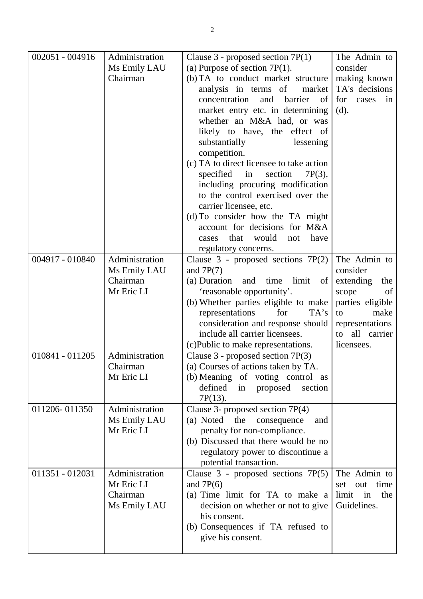| 002051 - 004916 | Administration | Clause $3$ - proposed section $7P(1)$                             | The Admin to       |
|-----------------|----------------|-------------------------------------------------------------------|--------------------|
|                 | Ms Emily LAU   | (a) Purpose of section $7P(1)$ .                                  | consider           |
|                 | Chairman       | (b) TA to conduct market structure                                | making known       |
|                 |                | analysis in terms of<br>market                                    | TA's decisions     |
|                 |                | concentration<br>barrier<br>and<br>of                             | for<br>cases<br>in |
|                 |                | market entry etc. in determining                                  | (d).               |
|                 |                | whether an M&A had, or was                                        |                    |
|                 |                | likely to have, the effect of                                     |                    |
|                 |                | substantially<br>lessening                                        |                    |
|                 |                | competition.                                                      |                    |
|                 |                | (c) TA to direct licensee to take action                          |                    |
|                 |                | specified in<br>section<br>$7P(3)$ ,                              |                    |
|                 |                | including procuring modification                                  |                    |
|                 |                | to the control exercised over the                                 |                    |
|                 |                | carrier licensee, etc.                                            |                    |
|                 |                | (d) To consider how the TA might<br>account for decisions for M&A |                    |
|                 |                | that<br>would<br>have<br>not<br>cases                             |                    |
|                 |                |                                                                   |                    |
| 004917 - 010840 | Administration | regulatory concerns.<br>Clause $3$ - proposed sections $7P(2)$    | The Admin to       |
|                 | Ms Emily LAU   | and $7P(7)$                                                       | consider           |
|                 | Chairman       | (a) Duration<br>time<br>limit<br>and<br>of                        | extending<br>the   |
|                 | Mr Eric LI     | 'reasonable opportunity'.                                         | scope<br>of        |
|                 |                | (b) Whether parties eligible to make                              | parties eligible   |
|                 |                | representations<br>for<br>TA's                                    | make<br>to         |
|                 |                | consideration and response should                                 | representations    |
|                 |                | include all carrier licensees.                                    | all carrier<br>to  |
|                 |                | (c) Public to make representations.                               | licensees.         |
| 010841 - 011205 | Administration | Clause $3$ - proposed section $7P(3)$                             |                    |
|                 | Chairman       | (a) Courses of actions taken by TA.                               |                    |
|                 | Mr Eric LI     | (b) Meaning of voting control as                                  |                    |
|                 |                | defined<br>proposed<br>section<br>in                              |                    |
|                 |                | $7P(13)$ .                                                        |                    |
| 011206-011350   | Administration | Clause 3- proposed section $7P(4)$                                |                    |
|                 | Ms Emily LAU   | (a) Noted the consequence<br>and                                  |                    |
|                 | Mr Eric LI     | penalty for non-compliance.                                       |                    |
|                 |                | (b) Discussed that there would be no                              |                    |
|                 |                | regulatory power to discontinue a                                 |                    |
|                 |                | potential transaction.                                            |                    |
| 011351 - 012031 | Administration | Clause 3 - proposed sections 7P(5)                                | The Admin to       |
|                 | Mr Eric LI     | and $7P(6)$                                                       | time<br>set<br>out |
|                 | Chairman       | (a) Time limit for TA to make a                                   | limit<br>the<br>in |
|                 | Ms Emily LAU   | decision on whether or not to give                                | Guidelines.        |
|                 |                | his consent.                                                      |                    |
|                 |                | (b) Consequences if TA refused to                                 |                    |
|                 |                | give his consent.                                                 |                    |
|                 |                |                                                                   |                    |